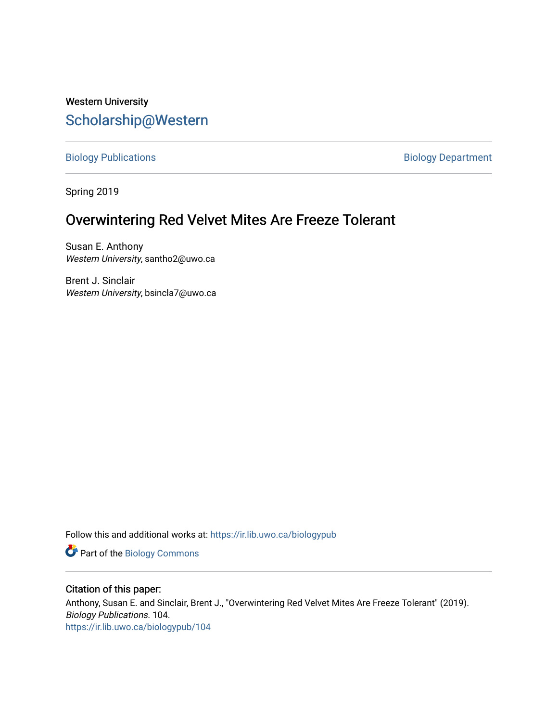# Western University [Scholarship@Western](https://ir.lib.uwo.ca/)

[Biology Publications](https://ir.lib.uwo.ca/biologypub) **Biology Department** 

Spring 2019

# Overwintering Red Velvet Mites Are Freeze Tolerant

Susan E. Anthony Western University, santho2@uwo.ca

Brent J. Sinclair Western University, bsincla7@uwo.ca

Follow this and additional works at: [https://ir.lib.uwo.ca/biologypub](https://ir.lib.uwo.ca/biologypub?utm_source=ir.lib.uwo.ca%2Fbiologypub%2F104&utm_medium=PDF&utm_campaign=PDFCoverPages)

Part of the [Biology Commons](http://network.bepress.com/hgg/discipline/41?utm_source=ir.lib.uwo.ca%2Fbiologypub%2F104&utm_medium=PDF&utm_campaign=PDFCoverPages) 

### Citation of this paper:

Anthony, Susan E. and Sinclair, Brent J., "Overwintering Red Velvet Mites Are Freeze Tolerant" (2019). Biology Publications. 104. [https://ir.lib.uwo.ca/biologypub/104](https://ir.lib.uwo.ca/biologypub/104?utm_source=ir.lib.uwo.ca%2Fbiologypub%2F104&utm_medium=PDF&utm_campaign=PDFCoverPages)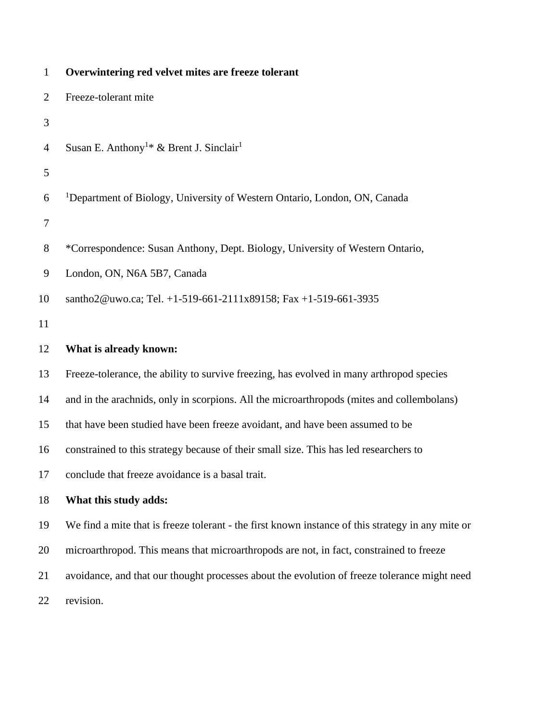| $\mathbf{1}$     | Overwintering red velvet mites are freeze tolerant                                                |
|------------------|---------------------------------------------------------------------------------------------------|
| $\overline{2}$   | Freeze-tolerant mite                                                                              |
| 3                |                                                                                                   |
| $\overline{4}$   | Susan E. Anthony <sup>1*</sup> & Brent J. Sinclair <sup>1</sup>                                   |
| 5                |                                                                                                   |
| 6                | <sup>1</sup> Department of Biology, University of Western Ontario, London, ON, Canada             |
| $\boldsymbol{7}$ |                                                                                                   |
| 8                | *Correspondence: Susan Anthony, Dept. Biology, University of Western Ontario,                     |
| 9                | London, ON, N6A 5B7, Canada                                                                       |
| 10               | santho2@uwo.ca; Tel. +1-519-661-2111x89158; Fax +1-519-661-3935                                   |
| 11               |                                                                                                   |
| 12               | What is already known:                                                                            |
| 13               | Freeze-tolerance, the ability to survive freezing, has evolved in many arthropod species          |
| 14               | and in the arachnids, only in scorpions. All the microarthropods (mites and collembolans)         |
| 15               | that have been studied have been freeze avoidant, and have been assumed to be                     |
| 16               | constrained to this strategy because of their small size. This has led researchers to             |
| 17               | conclude that freeze avoidance is a basal trait.                                                  |
| 18               | What this study adds:                                                                             |
| 19               | We find a mite that is freeze tolerant - the first known instance of this strategy in any mite or |
| 20               | microarthropod. This means that microarthropods are not, in fact, constrained to freeze           |
| 21               | avoidance, and that our thought processes about the evolution of freeze tolerance might need      |
| 22               | revision.                                                                                         |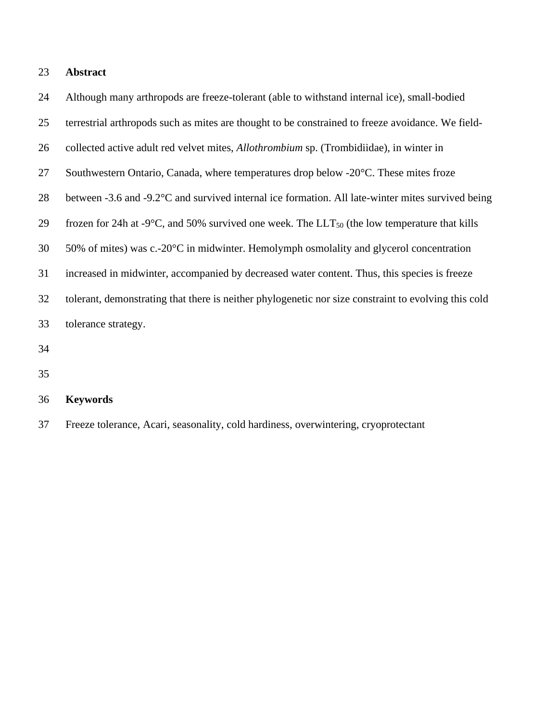# **Abstract**

| 24 | Although many arthropods are freeze-tolerant (able to withstand internal ice), small-bodied                        |
|----|--------------------------------------------------------------------------------------------------------------------|
| 25 | terrestrial arthropods such as mites are thought to be constrained to freeze avoidance. We field-                  |
| 26 | collected active adult red velvet mites, <i>Allothrombium</i> sp. (Trombidiidae), in winter in                     |
| 27 | Southwestern Ontario, Canada, where temperatures drop below -20 <sup>o</sup> C. These mites froze                  |
| 28 | between -3.6 and -9.2°C and survived internal ice formation. All late-winter mites survived being                  |
| 29 | frozen for 24h at -9 $\degree$ C, and 50% survived one week. The LLT <sub>50</sub> (the low temperature that kills |
| 30 | 50% of mites) was c.- $20^{\circ}$ C in midwinter. Hemolymph osmolality and glycerol concentration                 |
| 31 | increased in midwinter, accompanied by decreased water content. Thus, this species is freeze                       |
| 32 | tolerant, demonstrating that there is neither phylogenetic nor size constraint to evolving this cold               |
| 33 | tolerance strategy.                                                                                                |
| 34 |                                                                                                                    |

| 36 | <b>Keywords</b> |  |
|----|-----------------|--|
|----|-----------------|--|

Freeze tolerance, Acari, seasonality, cold hardiness, overwintering, cryoprotectant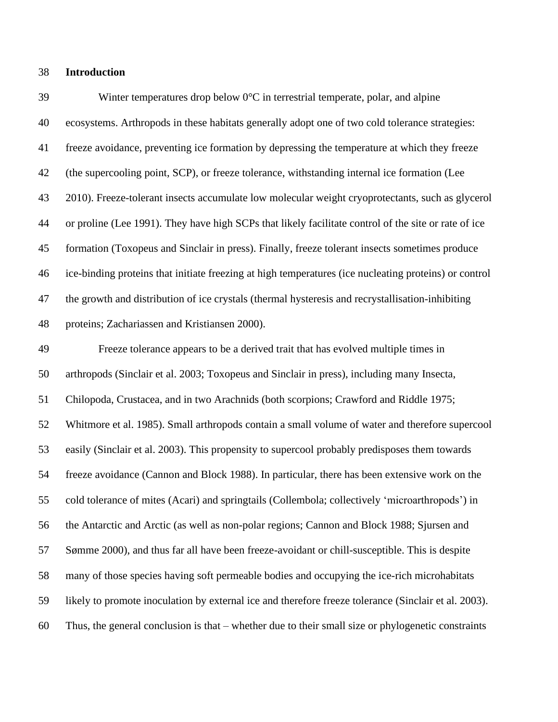#### **Introduction**

39 Winter temperatures drop below  $0^{\circ}C$  in terrestrial temperate, polar, and alpine ecosystems. Arthropods in these habitats generally adopt one of two cold tolerance strategies: freeze avoidance, preventing ice formation by depressing the temperature at which they freeze (the supercooling point, SCP), or freeze tolerance, withstanding internal ice formation (Lee 2010). Freeze-tolerant insects accumulate low molecular weight cryoprotectants, such as glycerol or proline (Lee 1991). They have high SCPs that likely facilitate control of the site or rate of ice formation (Toxopeus and Sinclair in press). Finally, freeze tolerant insects sometimes produce ice-binding proteins that initiate freezing at high temperatures (ice nucleating proteins) or control the growth and distribution of ice crystals (thermal hysteresis and recrystallisation-inhibiting proteins; Zachariassen and Kristiansen 2000).

 Freeze tolerance appears to be a derived trait that has evolved multiple times in arthropods (Sinclair et al. 2003; Toxopeus and Sinclair in press), including many Insecta, Chilopoda, Crustacea, and in two Arachnids (both scorpions; Crawford and Riddle 1975; Whitmore et al. 1985). Small arthropods contain a small volume of water and therefore supercool easily (Sinclair et al. 2003). This propensity to supercool probably predisposes them towards freeze avoidance (Cannon and Block 1988). In particular, there has been extensive work on the cold tolerance of mites (Acari) and springtails (Collembola; collectively 'microarthropods') in the Antarctic and Arctic (as well as non-polar regions; Cannon and Block 1988; Sjursen and Sømme 2000), and thus far all have been freeze-avoidant or chill-susceptible. This is despite many of those species having soft permeable bodies and occupying the ice-rich microhabitats likely to promote inoculation by external ice and therefore freeze tolerance (Sinclair et al. 2003). Thus, the general conclusion is that – whether due to their small size or phylogenetic constraints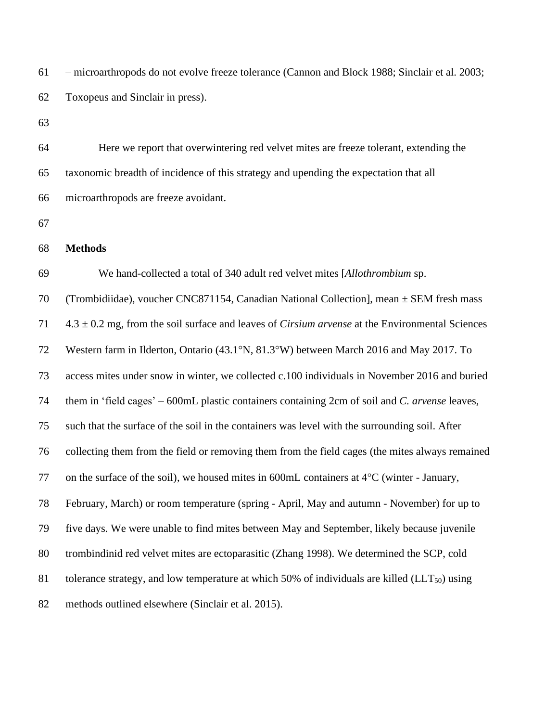| 61 | - microarthropods do not evolve freeze tolerance (Cannon and Block 1988; Sinclair et al. 2003;               |
|----|--------------------------------------------------------------------------------------------------------------|
| 62 | Toxopeus and Sinclair in press).                                                                             |
| 63 |                                                                                                              |
| 64 | Here we report that overwintering red velvet mites are freeze tolerant, extending the                        |
| 65 | taxonomic breadth of incidence of this strategy and upending the expectation that all                        |
| 66 | microarthropods are freeze avoidant.                                                                         |
| 67 |                                                                                                              |
| 68 | <b>Methods</b>                                                                                               |
| 69 | We hand-collected a total of 340 adult red velvet mites [Allothrombium sp.                                   |
| 70 | (Trombidiidae), voucher CNC871154, Canadian National Collection], mean $\pm$ SEM fresh mass                  |
| 71 | $4.3 \pm 0.2$ mg, from the soil surface and leaves of <i>Cirsium arvense</i> at the Environmental Sciences   |
| 72 | Western farm in Ilderton, Ontario (43.1°N, 81.3°W) between March 2016 and May 2017. To                       |
| 73 | access mites under snow in winter, we collected c.100 individuals in November 2016 and buried                |
| 74 | them in 'field cages' – 600mL plastic containers containing 2cm of soil and C. arvense leaves,               |
| 75 | such that the surface of the soil in the containers was level with the surrounding soil. After               |
| 76 | collecting them from the field or removing them from the field cages (the mites always remained              |
| 77 | on the surface of the soil), we housed mites in 600mL containers at $4^{\circ}$ C (winter - January,         |
| 78 | February, March) or room temperature (spring - April, May and autumn - November) for up to                   |
| 79 | five days. We were unable to find mites between May and September, likely because juvenile                   |
| 80 | trombindinid red velvet mites are ectoparasitic (Zhang 1998). We determined the SCP, cold                    |
| 81 | tolerance strategy, and low temperature at which $50\%$ of individuals are killed (LLT <sub>50</sub> ) using |
| 82 | methods outlined elsewhere (Sinclair et al. 2015).                                                           |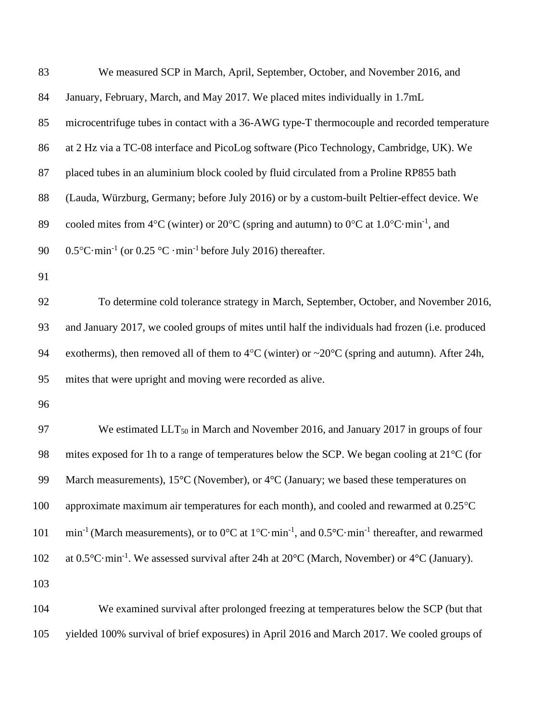| 83  | We measured SCP in March, April, September, October, and November 2016, and                                                                                     |  |  |
|-----|-----------------------------------------------------------------------------------------------------------------------------------------------------------------|--|--|
| 84  | January, February, March, and May 2017. We placed mites individually in 1.7mL                                                                                   |  |  |
| 85  | microcentrifuge tubes in contact with a 36-AWG type-T thermocouple and recorded temperature                                                                     |  |  |
| 86  | at 2 Hz via a TC-08 interface and PicoLog software (Pico Technology, Cambridge, UK). We                                                                         |  |  |
| 87  | placed tubes in an aluminium block cooled by fluid circulated from a Proline RP855 bath                                                                         |  |  |
| 88  | (Lauda, Würzburg, Germany; before July 2016) or by a custom-built Peltier-effect device. We                                                                     |  |  |
| 89  | cooled mites from 4 °C (winter) or 20 °C (spring and autumn) to 0 °C at $1.0$ °C min <sup>-1</sup> , and                                                        |  |  |
| 90  | $0.5^{\circ}$ C·min <sup>-1</sup> (or $0.25^{\circ}$ C·min <sup>-1</sup> before July 2016) thereafter.                                                          |  |  |
| 91  |                                                                                                                                                                 |  |  |
| 92  | To determine cold tolerance strategy in March, September, October, and November 2016,                                                                           |  |  |
| 93  | and January 2017, we cooled groups of mites until half the individuals had frozen (i.e. produced                                                                |  |  |
| 94  | exotherms), then removed all of them to $4^{\circ}$ C (winter) or $\sim$ 20 $^{\circ}$ C (spring and autumn). After 24h,                                        |  |  |
| 95  | mites that were upright and moving were recorded as alive.                                                                                                      |  |  |
| 96  |                                                                                                                                                                 |  |  |
| 97  | We estimated LLT <sub>50</sub> in March and November 2016, and January 2017 in groups of four                                                                   |  |  |
| 98  | mites exposed for 1h to a range of temperatures below the SCP. We began cooling at 21 <sup>o</sup> C (for                                                       |  |  |
| 99  | March measurements), $15^{\circ}$ C (November), or $4^{\circ}$ C (January; we based these temperatures on                                                       |  |  |
| 100 | approximate maximum air temperatures for each month), and cooled and rewarmed at 0.25°C                                                                         |  |  |
| 101 | min <sup>-1</sup> (March measurements), or to $0^{\circ}$ C at $1^{\circ}$ C·min <sup>-1</sup> , and $0.5^{\circ}$ C·min <sup>-1</sup> thereafter, and rewarmed |  |  |
| 102 | at $0.5^{\circ}$ C·min <sup>-1</sup> . We assessed survival after 24h at $20^{\circ}$ C (March, November) or 4 <sup>o</sup> C (January).                        |  |  |
| 103 |                                                                                                                                                                 |  |  |
| 104 | We examined survival after prolonged freezing at temperatures below the SCP (but that                                                                           |  |  |
| 105 | yielded 100% survival of brief exposures) in April 2016 and March 2017. We cooled groups of                                                                     |  |  |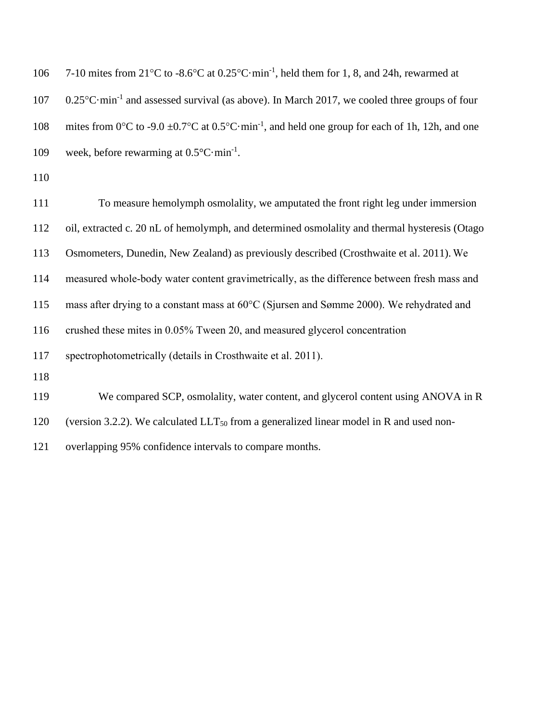| 106 | 7-10 mites from $21^{\circ}$ C to $-8.6^{\circ}$ C at $0.25^{\circ}$ C $\cdot$ min <sup>-1</sup> , held them for 1, 8, and 24h, rewarmed at |
|-----|---------------------------------------------------------------------------------------------------------------------------------------------|
| 107 | $0.25^{\circ}$ C·min <sup>-1</sup> and assessed survival (as above). In March 2017, we cooled three groups of four                          |
| 108 | mites from 0°C to -9.0 $\pm$ 0.7°C at 0.5°C·min <sup>-1</sup> , and held one group for each of 1h, 12h, and one                             |
| 109 | week, before rewarming at $0.5^{\circ}$ C·min <sup>-1</sup> .                                                                               |
| 110 |                                                                                                                                             |
| 111 | To measure hemolymph osmolality, we amputated the front right leg under immersion                                                           |
| 112 | oil, extracted c. 20 nL of hemolymph, and determined osmolality and thermal hysteresis (Otago                                               |
| 113 | Osmometers, Dunedin, New Zealand) as previously described (Crosthwaite et al. 2011). We                                                     |

114 measured whole-body water content gravimetrically, as the difference between fresh mass and

115 mass after drying to a constant mass at 60°C (Sjursen and Sømme 2000). We rehydrated and

116 crushed these mites in 0.05% Tween 20, and measured glycerol concentration

117 spectrophotometrically (details in Crosthwaite et al. 2011).

118

119 We compared SCP, osmolality, water content, and glycerol content using ANOVA in R

120 (version 3.2.2). We calculated  $LLT_{50}$  from a generalized linear model in R and used non-

121 overlapping 95% confidence intervals to compare months.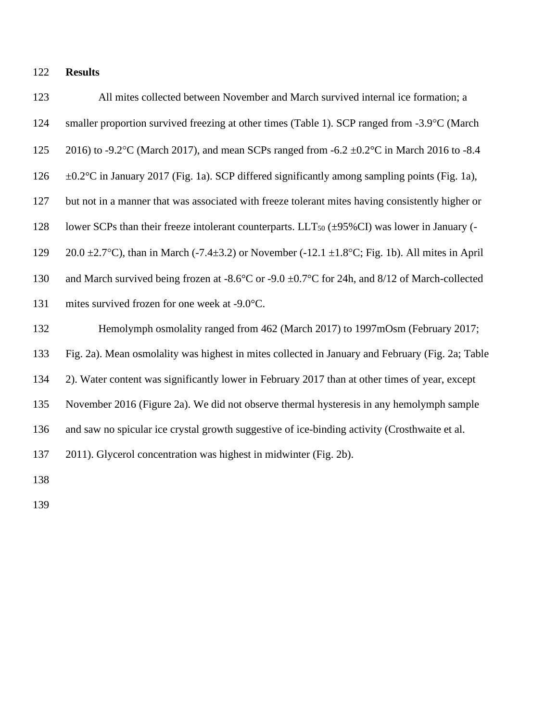**Results**

 All mites collected between November and March survived internal ice formation; a 124 smaller proportion survived freezing at other times (Table 1). SCP ranged from -3.9°C (March 125 2016) to -9.2°C (March 2017), and mean SCPs ranged from -6.2  $\pm$ 0.2°C in March 2016 to -8.4 126  $\pm 0.2^{\circ}$ C in January 2017 (Fig. 1a). SCP differed significantly among sampling points (Fig. 1a), but not in a manner that was associated with freeze tolerant mites having consistently higher or 128 lower SCPs than their freeze intolerant counterparts.  $LLT_{50}$  ( $\pm$ 95%CI) was lower in January (-129 20.0  $\pm$ 2.7°C), than in March (-7.4 $\pm$ 3.2) or November (-12.1  $\pm$ 1.8°C; Fig. 1b). All mites in April and March survived being frozen at -8.6°C or -9.0 ±0.7°C for 24h, and 8/12 of March-collected 131 mites survived frozen for one week at -9.0°C. Hemolymph osmolality ranged from 462 (March 2017) to 1997mOsm (February 2017; Fig. 2a). Mean osmolality was highest in mites collected in January and February (Fig. 2a; Table 2). Water content was significantly lower in February 2017 than at other times of year, except November 2016 (Figure 2a). We did not observe thermal hysteresis in any hemolymph sample and saw no spicular ice crystal growth suggestive of ice-binding activity (Crosthwaite et al. 2011). Glycerol concentration was highest in midwinter (Fig. 2b). 

- 
-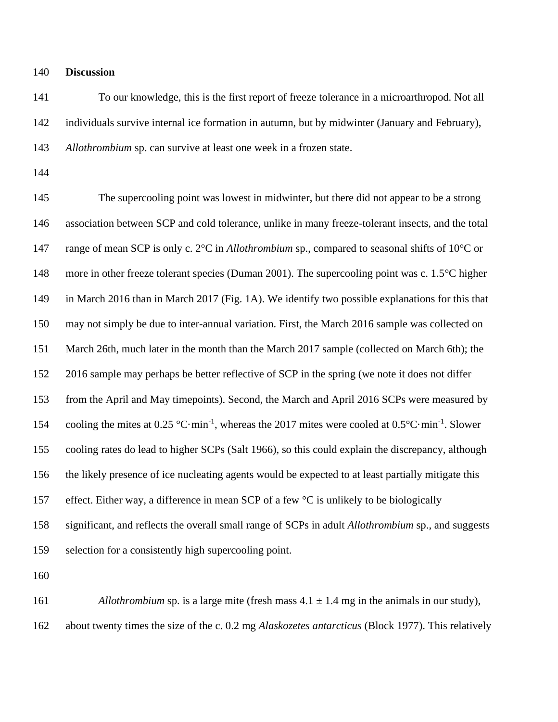**Discussion**

 To our knowledge, this is the first report of freeze tolerance in a microarthropod. Not all individuals survive internal ice formation in autumn, but by midwinter (January and February), *Allothrombium* sp. can survive at least one week in a frozen state.

 The supercooling point was lowest in midwinter, but there did not appear to be a strong association between SCP and cold tolerance, unlike in many freeze-tolerant insects, and the total range of mean SCP is only c. 2°C in *Allothrombium* sp., compared to seasonal shifts of 10°C or 148 more in other freeze tolerant species (Duman 2001). The supercooling point was c. 1.5°C higher in March 2016 than in March 2017 (Fig. 1A). We identify two possible explanations for this that may not simply be due to inter-annual variation. First, the March 2016 sample was collected on March 26th, much later in the month than the March 2017 sample (collected on March 6th); the 2016 sample may perhaps be better reflective of SCP in the spring (we note it does not differ from the April and May timepoints). Second, the March and April 2016 SCPs were measured by 154 cooling the mites at  $0.25 \text{ °C}\cdot \text{min}^{-1}$ , whereas the 2017 mites were cooled at  $0.5 \text{ °C}\cdot \text{min}^{-1}$ . Slower cooling rates do lead to higher SCPs (Salt 1966), so this could explain the discrepancy, although the likely presence of ice nucleating agents would be expected to at least partially mitigate this 157 effect. Either way, a difference in mean SCP of a few <sup>o</sup>C is unlikely to be biologically significant, and reflects the overall small range of SCPs in adult *Allothrombium* sp., and suggests selection for a consistently high supercooling point.

161 *Allothrombium* sp. is a large mite (fresh mass  $4.1 \pm 1.4$  mg in the animals in our study), about twenty times the size of the c. 0.2 mg *Alaskozetes antarcticus* (Block 1977). This relatively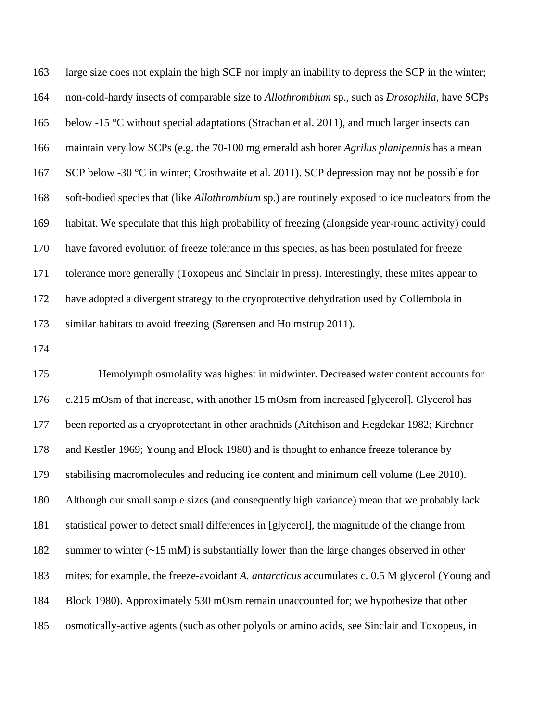large size does not explain the high SCP nor imply an inability to depress the SCP in the winter; non-cold-hardy insects of comparable size to *Allothrombium* sp., such as *Drosophila*, have SCPs below -15 °C without special adaptations (Strachan et al. 2011), and much larger insects can maintain very low SCPs (e.g. the 70-100 mg emerald ash borer *Agrilus planipennis* has a mean 167 SCP below -30 °C in winter; Crosthwaite et al. 2011). SCP depression may not be possible for soft-bodied species that (like *Allothrombium* sp.) are routinely exposed to ice nucleators from the habitat. We speculate that this high probability of freezing (alongside year-round activity) could have favored evolution of freeze tolerance in this species, as has been postulated for freeze tolerance more generally (Toxopeus and Sinclair in press). Interestingly, these mites appear to have adopted a divergent strategy to the cryoprotective dehydration used by Collembola in similar habitats to avoid freezing (Sørensen and Holmstrup 2011).

 Hemolymph osmolality was highest in midwinter. Decreased water content accounts for c.215 mOsm of that increase, with another 15 mOsm from increased [glycerol]. Glycerol has been reported as a cryoprotectant in other arachnids (Aitchison and Hegdekar 1982; Kirchner and Kestler 1969; Young and Block 1980) and is thought to enhance freeze tolerance by stabilising macromolecules and reducing ice content and minimum cell volume (Lee 2010). Although our small sample sizes (and consequently high variance) mean that we probably lack statistical power to detect small differences in [glycerol], the magnitude of the change from 182 summer to winter (~15 mM) is substantially lower than the large changes observed in other mites; for example, the freeze-avoidant *A. antarcticus* accumulates c. 0.5 M glycerol (Young and Block 1980). Approximately 530 mOsm remain unaccounted for; we hypothesize that other osmotically-active agents (such as other polyols or amino acids, see Sinclair and Toxopeus, in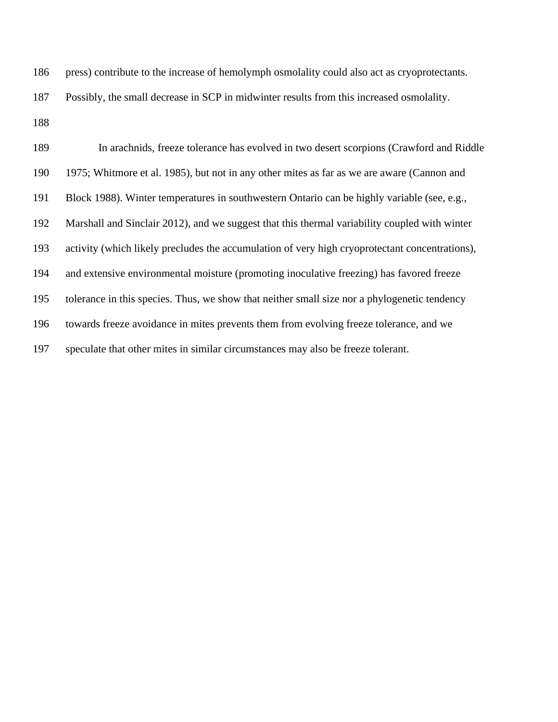| 186 | press) contribute to the increase of hemolymph osmolality could also act as cryoprotectants. |
|-----|----------------------------------------------------------------------------------------------|
| 187 | Possibly, the small decrease in SCP in midwinter results from this increased osmolality.     |

 In arachnids, freeze tolerance has evolved in two desert scorpions (Crawford and Riddle 1975; Whitmore et al. 1985), but not in any other mites as far as we are aware (Cannon and Block 1988). Winter temperatures in southwestern Ontario can be highly variable (see, e.g., Marshall and Sinclair 2012), and we suggest that this thermal variability coupled with winter activity (which likely precludes the accumulation of very high cryoprotectant concentrations), and extensive environmental moisture (promoting inoculative freezing) has favored freeze tolerance in this species. Thus, we show that neither small size nor a phylogenetic tendency towards freeze avoidance in mites prevents them from evolving freeze tolerance, and we speculate that other mites in similar circumstances may also be freeze tolerant.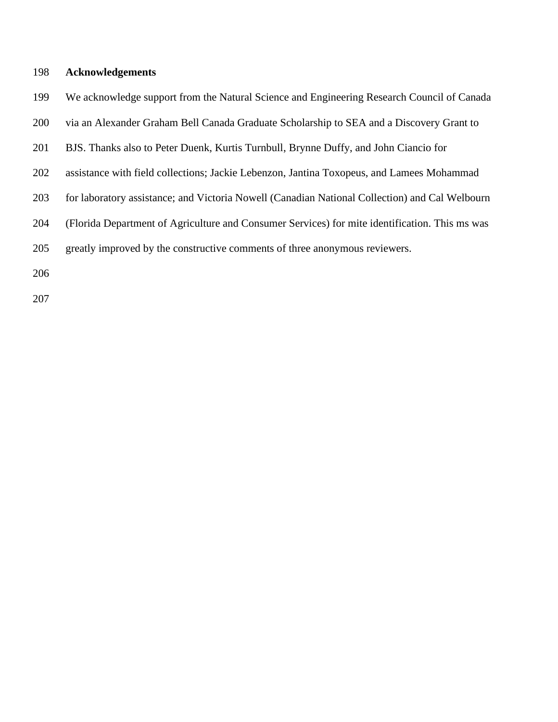## **Acknowledgements**

- We acknowledge support from the Natural Science and Engineering Research Council of Canada
- via an Alexander Graham Bell Canada Graduate Scholarship to SEA and a Discovery Grant to
- BJS. Thanks also to Peter Duenk, Kurtis Turnbull, Brynne Duffy, and John Ciancio for
- assistance with field collections; Jackie Lebenzon, Jantina Toxopeus, and Lamees Mohammad
- 203 for laboratory assistance; and Victoria Nowell (Canadian National Collection) and Cal Welbourn
- (Florida Department of Agriculture and Consumer Services) for mite identification. This ms was
- greatly improved by the constructive comments of three anonymous reviewers.
-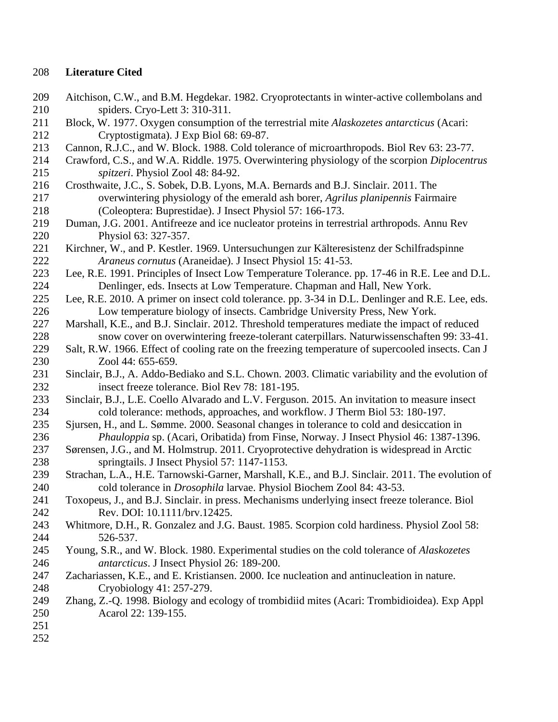## **Literature Cited**

- Aitchison, C.W., and B.M. Hegdekar. 1982. Cryoprotectants in winter-active collembolans and spiders. Cryo-Lett 3: 310-311.
- Block, W. 1977. Oxygen consumption of the terrestrial mite *Alaskozetes antarcticus* (Acari: Cryptostigmata). J Exp Biol 68: 69-87.
- Cannon, R.J.C., and W. Block. 1988. Cold tolerance of microarthropods. Biol Rev 63: 23-77.
- Crawford, C.S., and W.A. Riddle. 1975. Overwintering physiology of the scorpion *Diplocentrus spitzeri*. Physiol Zool 48: 84-92.
- Crosthwaite, J.C., S. Sobek, D.B. Lyons, M.A. Bernards and B.J. Sinclair. 2011. The overwintering physiology of the emerald ash borer, *Agrilus planipennis* Fairmaire (Coleoptera: Buprestidae). J Insect Physiol 57: 166-173.
- Duman, J.G. 2001. Antifreeze and ice nucleator proteins in terrestrial arthropods. Annu Rev Physiol 63: 327-357.
- Kirchner, W., and P. Kestler. 1969. Untersuchungen zur Kälteresistenz der Schilfradspinne *Araneus cornutus* (Araneidae). J Insect Physiol 15: 41-53.
- Lee, R.E. 1991. Principles of Insect Low Temperature Tolerance. pp. 17-46 in R.E. Lee and D.L. Denlinger, eds. Insects at Low Temperature. Chapman and Hall, New York.
- Lee, R.E. 2010. A primer on insect cold tolerance. pp. 3-34 in D.L. Denlinger and R.E. Lee, eds. Low temperature biology of insects. Cambridge University Press, New York.
- Marshall, K.E., and B.J. Sinclair. 2012. Threshold temperatures mediate the impact of reduced snow cover on overwintering freeze-tolerant caterpillars. Naturwissenschaften 99: 33-41.
- Salt, R.W. 1966. Effect of cooling rate on the freezing temperature of supercooled insects. Can J Zool 44: 655-659.
- Sinclair, B.J., A. Addo-Bediako and S.L. Chown. 2003. Climatic variability and the evolution of insect freeze tolerance. Biol Rev 78: 181-195.
- Sinclair, B.J., L.E. Coello Alvarado and L.V. Ferguson. 2015. An invitation to measure insect cold tolerance: methods, approaches, and workflow. J Therm Biol 53: 180-197.
- Sjursen, H., and L. Sømme. 2000. Seasonal changes in tolerance to cold and desiccation in *Phauloppia* sp. (Acari, Oribatida) from Finse, Norway. J Insect Physiol 46: 1387-1396.
- Sørensen, J.G., and M. Holmstrup. 2011. Cryoprotective dehydration is widespread in Arctic springtails. J Insect Physiol 57: 1147-1153.
- Strachan, L.A., H.E. Tarnowski-Garner, Marshall, K.E., and B.J. Sinclair. 2011. The evolution of cold tolerance in *Drosophila* larvae. Physiol Biochem Zool 84: 43-53.
- Toxopeus, J., and B.J. Sinclair. in press. Mechanisms underlying insect freeze tolerance. Biol Rev. DOI: 10.1111/brv.12425.
- Whitmore, D.H., R. Gonzalez and J.G. Baust. 1985. Scorpion cold hardiness. Physiol Zool 58: 526-537.
- Young, S.R., and W. Block. 1980. Experimental studies on the cold tolerance of *Alaskozetes antarcticus*. J Insect Physiol 26: 189-200.
- Zachariassen, K.E., and E. Kristiansen. 2000. Ice nucleation and antinucleation in nature. Cryobiology 41: 257-279.
- Zhang, Z.-Q. 1998. Biology and ecology of trombidiid mites (Acari: Trombidioidea). Exp Appl Acarol 22: 139-155.
- 
-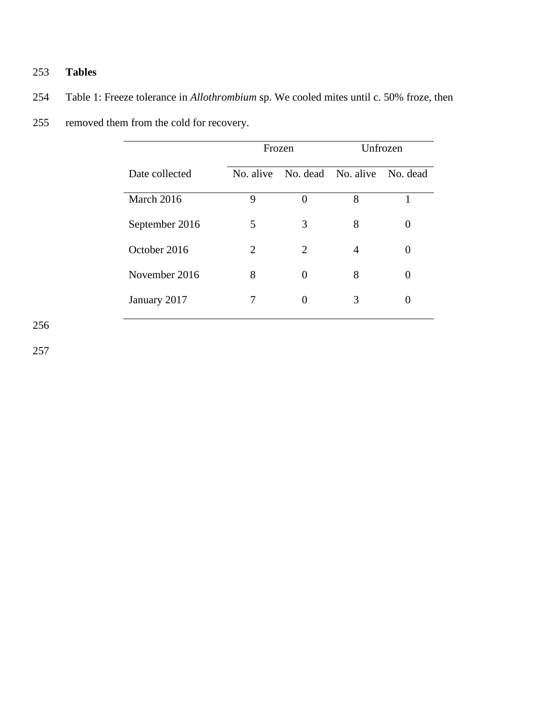# 253 **Tables**

- 254 Table 1: Freeze tolerance in *Allothrombium* sp. We cooled mites until c. 50% froze, then
- 255 removed them from the cold for recovery.

|                | Frozen    |                    | Unfrozen |                   |
|----------------|-----------|--------------------|----------|-------------------|
| Date collected | No. alive | No. dead No. alive |          | No. dead          |
| March 2016     | 9         | $\mathbf{\Omega}$  | 8        |                   |
| September 2016 | 5         | 3                  | 8        |                   |
| October 2016   | 2         | 2                  | 4        | 0                 |
| November 2016  | 8         | $\theta$           | 8        | $\mathbf{\Omega}$ |
| January 2017   | 7         | 0                  | 3        |                   |

256

257